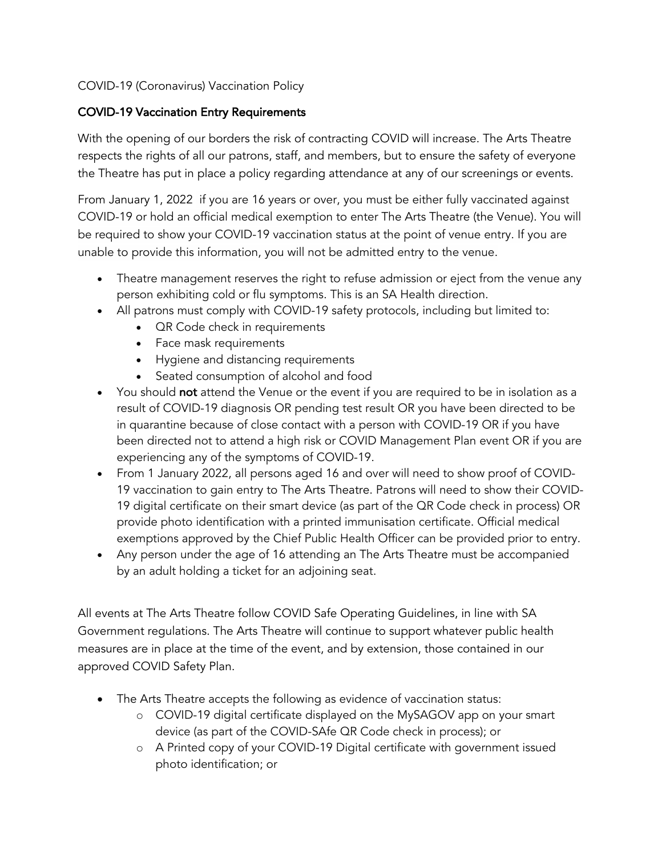# COVID-19 (Coronavirus) Vaccination Policy

# COVID-19 Vaccination Entry Requirements

With the opening of our borders the risk of contracting COVID will increase. The Arts Theatre respects the rights of all our patrons, staff, and members, but to ensure the safety of everyone the Theatre has put in place a policy regarding attendance at any of our screenings or events.

From January 1, 2022 if you are 16 years or over, you must be either fully vaccinated against COVID-19 or hold an official medical exemption to enter The Arts Theatre (the Venue). You will be required to show your COVID-19 vaccination status at the point of venue entry. If you are unable to provide this information, you will not be admitted entry to the venue.

- Theatre management reserves the right to refuse admission or eject from the venue any person exhibiting cold or flu symptoms. This is an SA Health direction.
- All patrons must comply with COVID-19 safety protocols, including but limited to:
	- **QR Code check in requirements**
	- Face mask requirements
	- Hygiene and distancing requirements
	- Seated consumption of alcohol and food
- You should not attend the Venue or the event if you are required to be in isolation as a result of COVID-19 diagnosis OR pending test result OR you have been directed to be in quarantine because of close contact with a person with COVID-19 OR if you have been directed not to attend a high risk or COVID Management Plan event OR if you are experiencing any of the symptoms of COVID-19.
- From 1 January 2022, all persons aged 16 and over will need to show proof of COVID-19 vaccination to gain entry to The Arts Theatre. Patrons will need to show their COVID-19 digital certificate on their smart device (as part of the QR Code check in process) OR provide photo identification with a printed immunisation certificate. Official medical exemptions approved by the Chief Public Health Officer can be provided prior to entry.
- Any person under the age of 16 attending an The Arts Theatre must be accompanied by an adult holding a ticket for an adjoining seat.

All events at The Arts Theatre follow COVID Safe Operating Guidelines, in line with SA Government regulations. The Arts Theatre will continue to support whatever public health measures are in place at the time of the event, and by extension, those contained in our approved COVID Safety Plan.

- The Arts Theatre accepts the following as evidence of vaccination status:
	- o COVID-19 digital certificate displayed on the MySAGOV app on your smart device (as part of the COVID-SAfe QR Code check in process); or
	- o A Printed copy of your COVID-19 Digital certificate with government issued photo identification; or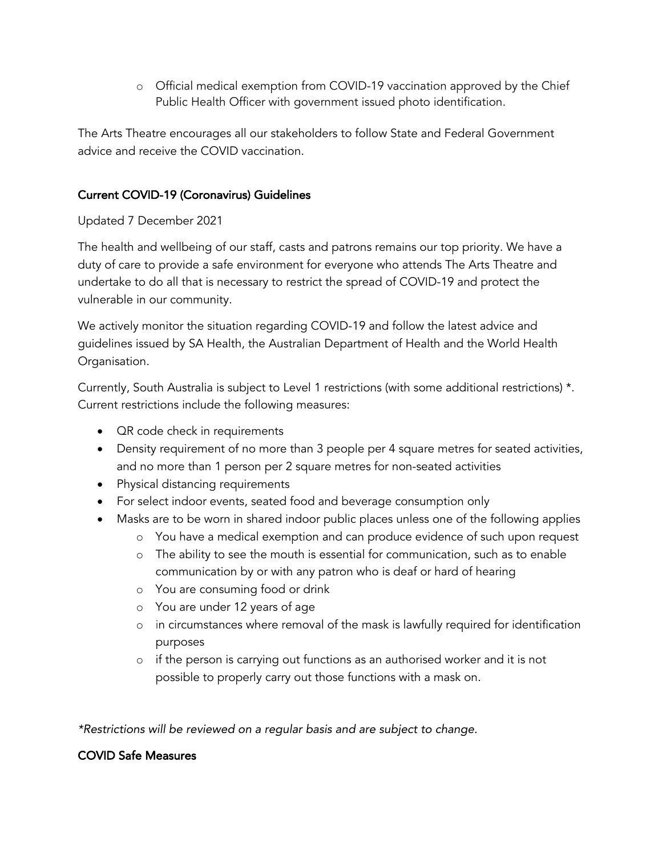o Official medical exemption from COVID-19 vaccination approved by the Chief Public Health Officer with government issued photo identification.

The Arts Theatre encourages all our stakeholders to follow State and Federal Government advice and receive the COVID vaccination.

# Current COVID-19 (Coronavirus) Guidelines

### Updated 7 December 2021

The health and wellbeing of our staff, casts and patrons remains our top priority. We have a duty of care to provide a safe environment for everyone who attends The Arts Theatre and undertake to do all that is necessary to restrict the spread of COVID-19 and protect the vulnerable in our community.

We actively monitor the situation regarding COVID-19 and follow the latest advice and guidelines issued by SA Health, the Australian Department of Health and the World Health Organisation.

Currently, South Australia is subject to Level 1 restrictions (with some additional restrictions) \*. Current restrictions include the following measures:

- QR code check in requirements
- Density requirement of no more than 3 people per 4 square metres for seated activities, and no more than 1 person per 2 square metres for non-seated activities
- Physical distancing requirements
- For select indoor events, seated food and beverage consumption only
- Masks are to be worn in shared indoor public places unless one of the following applies
	- o You have a medical exemption and can produce evidence of such upon request
	- o The ability to see the mouth is essential for communication, such as to enable communication by or with any patron who is deaf or hard of hearing
	- o You are consuming food or drink
	- o You are under 12 years of age
	- o in circumstances where removal of the mask is lawfully required for identification purposes
	- o if the person is carrying out functions as an authorised worker and it is not possible to properly carry out those functions with a mask on.

*\*Restrictions will be reviewed on a regular basis and are subject to change.*

# COVID Safe Measures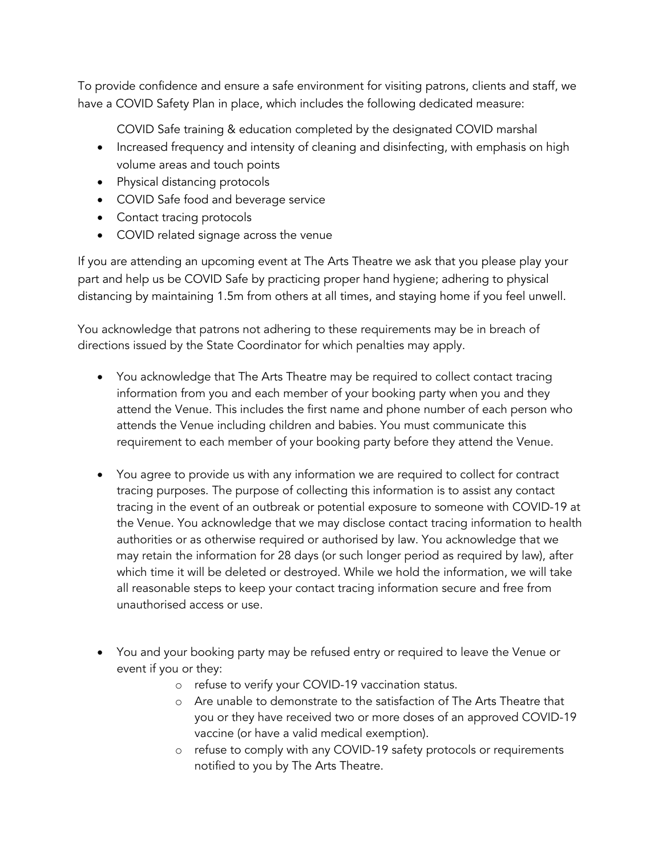To provide confidence and ensure a safe environment for visiting patrons, clients and staff, we have a COVID Safety Plan in place, which includes the following dedicated measure:

COVID Safe training & education completed by the designated COVID marshal

- Increased frequency and intensity of cleaning and disinfecting, with emphasis on high volume areas and touch points
- Physical distancing protocols
- COVID Safe food and beverage service
- Contact tracing protocols
- COVID related signage across the venue

If you are attending an upcoming event at The Arts Theatre we ask that you please play your part and help us be COVID Safe by practicing proper hand hygiene; adhering to physical distancing by maintaining 1.5m from others at all times, and staying home if you feel unwell.

You acknowledge that patrons not adhering to these requirements may be in breach of directions issued by the State Coordinator for which penalties may apply.

- You acknowledge that The Arts Theatre may be required to collect contact tracing information from you and each member of your booking party when you and they attend the Venue. This includes the first name and phone number of each person who attends the Venue including children and babies. You must communicate this requirement to each member of your booking party before they attend the Venue.
- You agree to provide us with any information we are required to collect for contract tracing purposes. The purpose of collecting this information is to assist any contact tracing in the event of an outbreak or potential exposure to someone with COVID-19 at the Venue. You acknowledge that we may disclose contact tracing information to health authorities or as otherwise required or authorised by law. You acknowledge that we may retain the information for 28 days (or such longer period as required by law), after which time it will be deleted or destroyed. While we hold the information, we will take all reasonable steps to keep your contact tracing information secure and free from unauthorised access or use.
- You and your booking party may be refused entry or required to leave the Venue or event if you or they:
	- o refuse to verify your COVID-19 vaccination status.
	- o Are unable to demonstrate to the satisfaction of The Arts Theatre that you or they have received two or more doses of an approved COVID-19 vaccine (or have a valid medical exemption).
	- o refuse to comply with any COVID-19 safety protocols or requirements notified to you by The Arts Theatre.